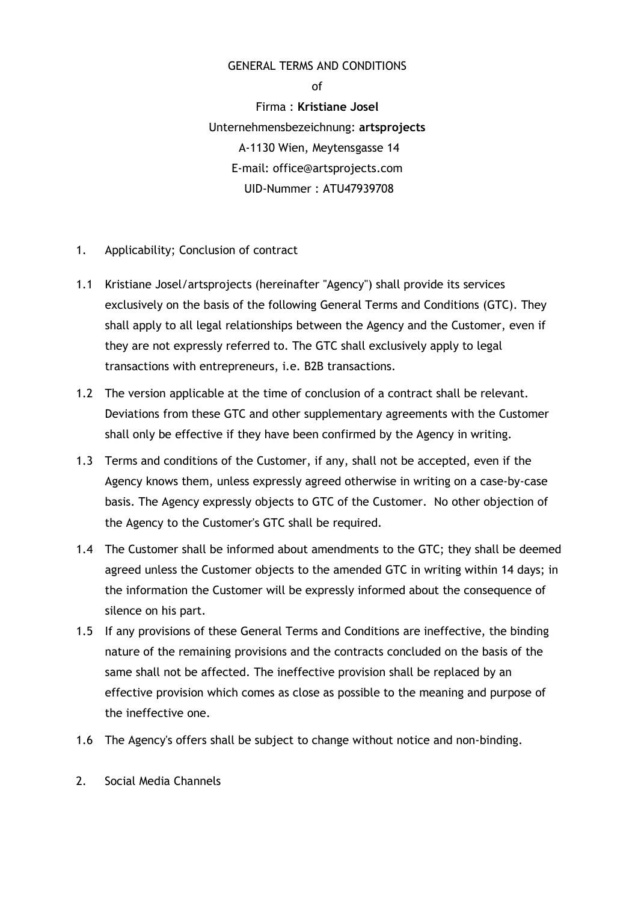### GENERAL TERMS AND CONDITIONS

of Firma : Kristiane Josel Unternehmensbezeichnung: artsprojects A-1130 Wien, Meytensgasse 14 E-mail: office@artsprojects.com UID-Nummer : ATU47939708

- 1. Applicability; Conclusion of contract
- 1.1 Kristiane Josel/artsprojects (hereinafter "Agency") shall provide its services exclusively on the basis of the following General Terms and Conditions (GTC). They shall apply to all legal relationships between the Agency and the Customer, even if they are not expressly referred to. The GTC shall exclusively apply to legal transactions with entrepreneurs, i.e. B2B transactions.
- 1.2 The version applicable at the time of conclusion of a contract shall be relevant. Deviations from these GTC and other supplementary agreements with the Customer shall only be effective if they have been confirmed by the Agency in writing.
- 1.3 Terms and conditions of the Customer, if any, shall not be accepted, even if the Agency knows them, unless expressly agreed otherwise in writing on a case-by-case basis. The Agency expressly objects to GTC of the Customer. No other objection of the Agency to the Customer's GTC shall be required.
- 1.4 The Customer shall be informed about amendments to the GTC; they shall be deemed agreed unless the Customer objects to the amended GTC in writing within 14 days; in the information the Customer will be expressly informed about the consequence of silence on his part.
- 1.5 If any provisions of these General Terms and Conditions are ineffective, the binding nature of the remaining provisions and the contracts concluded on the basis of the same shall not be affected. The ineffective provision shall be replaced by an effective provision which comes as close as possible to the meaning and purpose of the ineffective one.
- 1.6 The Agency's offers shall be subject to change without notice and non-binding.
- 2. Social Media Channels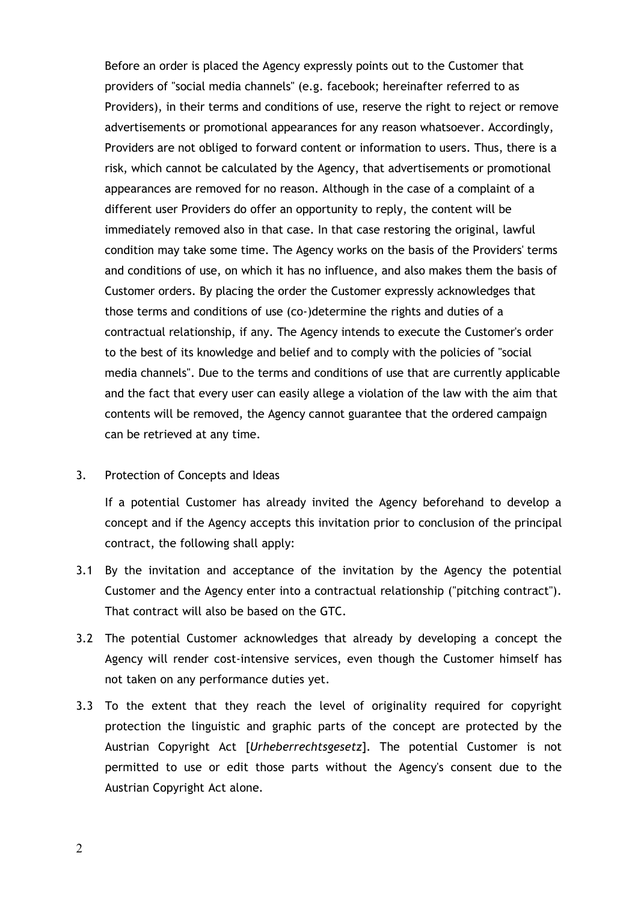Before an order is placed the Agency expressly points out to the Customer that providers of "social media channels" (e.g. facebook; hereinafter referred to as Providers), in their terms and conditions of use, reserve the right to reject or remove advertisements or promotional appearances for any reason whatsoever. Accordingly, Providers are not obliged to forward content or information to users. Thus, there is a risk, which cannot be calculated by the Agency, that advertisements or promotional appearances are removed for no reason. Although in the case of a complaint of a different user Providers do offer an opportunity to reply, the content will be immediately removed also in that case. In that case restoring the original, lawful condition may take some time. The Agency works on the basis of the Providers' terms and conditions of use, on which it has no influence, and also makes them the basis of Customer orders. By placing the order the Customer expressly acknowledges that those terms and conditions of use (co-)determine the rights and duties of a contractual relationship, if any. The Agency intends to execute the Customer's order to the best of its knowledge and belief and to comply with the policies of "social media channels". Due to the terms and conditions of use that are currently applicable and the fact that every user can easily allege a violation of the law with the aim that contents will be removed, the Agency cannot guarantee that the ordered campaign can be retrieved at any time.

3. Protection of Concepts and Ideas

If a potential Customer has already invited the Agency beforehand to develop a concept and if the Agency accepts this invitation prior to conclusion of the principal contract, the following shall apply:

- 3.1 By the invitation and acceptance of the invitation by the Agency the potential Customer and the Agency enter into a contractual relationship ("pitching contract"). That contract will also be based on the GTC.
- 3.2 The potential Customer acknowledges that already by developing a concept the Agency will render cost-intensive services, even though the Customer himself has not taken on any performance duties yet.
- 3.3 To the extent that they reach the level of originality required for copyright protection the linguistic and graphic parts of the concept are protected by the Austrian Copyright Act [Urheberrechtsgesetz]. The potential Customer is not permitted to use or edit those parts without the Agency's consent due to the Austrian Copyright Act alone.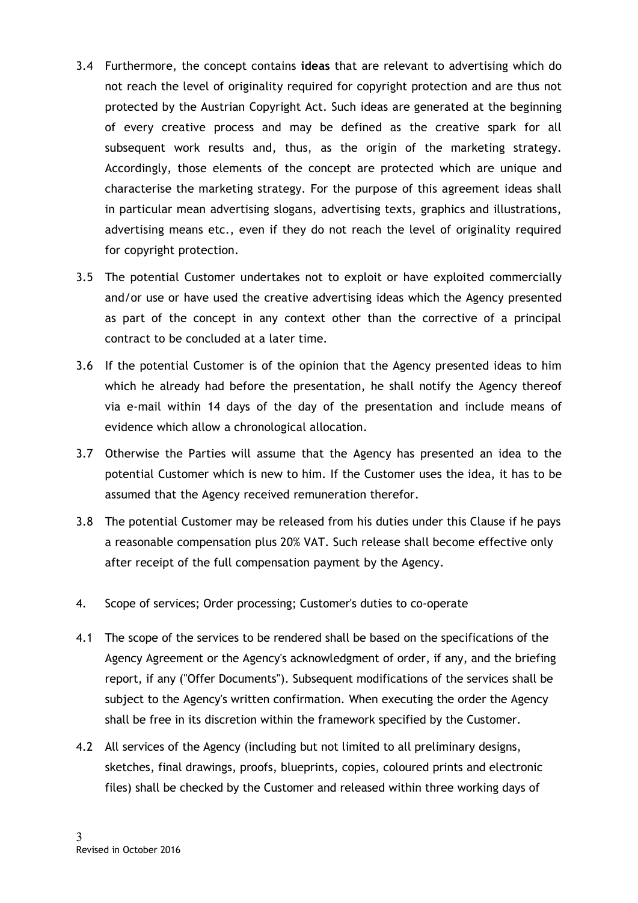- 3.4 Furthermore, the concept contains ideas that are relevant to advertising which do not reach the level of originality required for copyright protection and are thus not protected by the Austrian Copyright Act. Such ideas are generated at the beginning of every creative process and may be defined as the creative spark for all subsequent work results and, thus, as the origin of the marketing strategy. Accordingly, those elements of the concept are protected which are unique and characterise the marketing strategy. For the purpose of this agreement ideas shall in particular mean advertising slogans, advertising texts, graphics and illustrations, advertising means etc., even if they do not reach the level of originality required for copyright protection.
- 3.5 The potential Customer undertakes not to exploit or have exploited commercially and/or use or have used the creative advertising ideas which the Agency presented as part of the concept in any context other than the corrective of a principal contract to be concluded at a later time.
- 3.6 If the potential Customer is of the opinion that the Agency presented ideas to him which he already had before the presentation, he shall notify the Agency thereof via e-mail within 14 days of the day of the presentation and include means of evidence which allow a chronological allocation.
- 3.7 Otherwise the Parties will assume that the Agency has presented an idea to the potential Customer which is new to him. If the Customer uses the idea, it has to be assumed that the Agency received remuneration therefor.
- 3.8 The potential Customer may be released from his duties under this Clause if he pays a reasonable compensation plus 20% VAT. Such release shall become effective only after receipt of the full compensation payment by the Agency.
- 4. Scope of services; Order processing; Customer's duties to co-operate
- 4.1 The scope of the services to be rendered shall be based on the specifications of the Agency Agreement or the Agency's acknowledgment of order, if any, and the briefing report, if any ("Offer Documents"). Subsequent modifications of the services shall be subject to the Agency's written confirmation. When executing the order the Agency shall be free in its discretion within the framework specified by the Customer.
- 4.2 All services of the Agency (including but not limited to all preliminary designs, sketches, final drawings, proofs, blueprints, copies, coloured prints and electronic files) shall be checked by the Customer and released within three working days of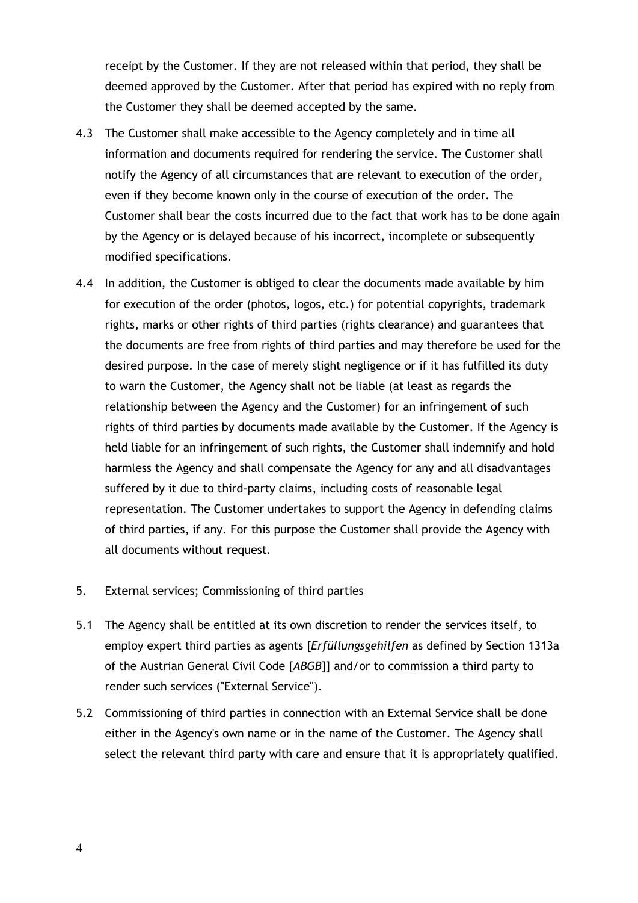receipt by the Customer. If they are not released within that period, they shall be deemed approved by the Customer. After that period has expired with no reply from the Customer they shall be deemed accepted by the same.

- 4.3 The Customer shall make accessible to the Agency completely and in time all information and documents required for rendering the service. The Customer shall notify the Agency of all circumstances that are relevant to execution of the order, even if they become known only in the course of execution of the order. The Customer shall bear the costs incurred due to the fact that work has to be done again by the Agency or is delayed because of his incorrect, incomplete or subsequently modified specifications.
- 4.4 In addition, the Customer is obliged to clear the documents made available by him for execution of the order (photos, logos, etc.) for potential copyrights, trademark rights, marks or other rights of third parties (rights clearance) and guarantees that the documents are free from rights of third parties and may therefore be used for the desired purpose. In the case of merely slight negligence or if it has fulfilled its duty to warn the Customer, the Agency shall not be liable (at least as regards the relationship between the Agency and the Customer) for an infringement of such rights of third parties by documents made available by the Customer. If the Agency is held liable for an infringement of such rights, the Customer shall indemnify and hold harmless the Agency and shall compensate the Agency for any and all disadvantages suffered by it due to third-party claims, including costs of reasonable legal representation. The Customer undertakes to support the Agency in defending claims of third parties, if any. For this purpose the Customer shall provide the Agency with all documents without request.
- 5. External services; Commissioning of third parties
- 5.1 The Agency shall be entitled at its own discretion to render the services itself, to employ expert third parties as agents [Erfüllungsgehilfen as defined by Section 1313a of the Austrian General Civil Code [ABGB]] and/or to commission a third party to render such services ("External Service").
- 5.2 Commissioning of third parties in connection with an External Service shall be done either in the Agency's own name or in the name of the Customer. The Agency shall select the relevant third party with care and ensure that it is appropriately qualified.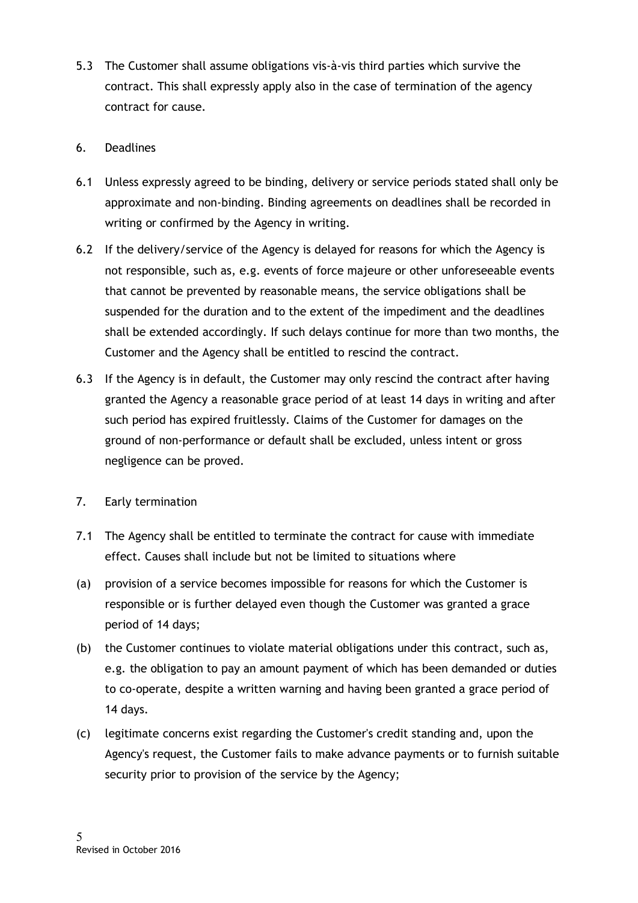- 5.3 The Customer shall assume obligations vis-à-vis third parties which survive the contract. This shall expressly apply also in the case of termination of the agency contract for cause.
- 6. Deadlines
- 6.1 Unless expressly agreed to be binding, delivery or service periods stated shall only be approximate and non-binding. Binding agreements on deadlines shall be recorded in writing or confirmed by the Agency in writing.
- 6.2 If the delivery/service of the Agency is delayed for reasons for which the Agency is not responsible, such as, e.g. events of force majeure or other unforeseeable events that cannot be prevented by reasonable means, the service obligations shall be suspended for the duration and to the extent of the impediment and the deadlines shall be extended accordingly. If such delays continue for more than two months, the Customer and the Agency shall be entitled to rescind the contract.
- 6.3 If the Agency is in default, the Customer may only rescind the contract after having granted the Agency a reasonable grace period of at least 14 days in writing and after such period has expired fruitlessly. Claims of the Customer for damages on the ground of non-performance or default shall be excluded, unless intent or gross negligence can be proved.
- 7. Early termination
- 7.1 The Agency shall be entitled to terminate the contract for cause with immediate effect. Causes shall include but not be limited to situations where
- (a) provision of a service becomes impossible for reasons for which the Customer is responsible or is further delayed even though the Customer was granted a grace period of 14 days;
- (b) the Customer continues to violate material obligations under this contract, such as, e.g. the obligation to pay an amount payment of which has been demanded or duties to co-operate, despite a written warning and having been granted a grace period of 14 days.
- (c) legitimate concerns exist regarding the Customer's credit standing and, upon the Agency's request, the Customer fails to make advance payments or to furnish suitable security prior to provision of the service by the Agency;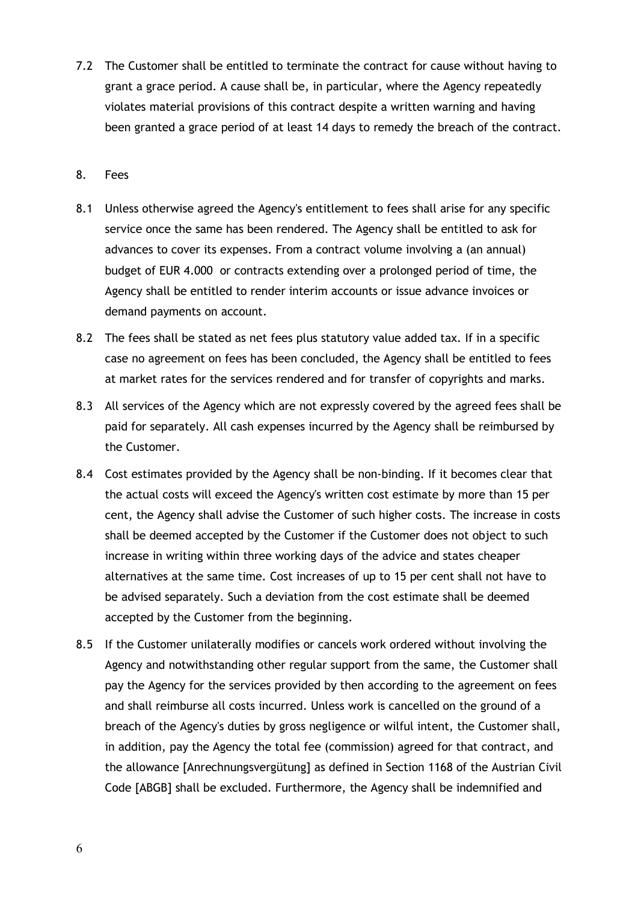7.2 The Customer shall be entitled to terminate the contract for cause without having to grant a grace period. A cause shall be, in particular, where the Agency repeatedly violates material provisions of this contract despite a written warning and having been granted a grace period of at least 14 days to remedy the breach of the contract.

#### 8. Fees

- 8.1 Unless otherwise agreed the Agency's entitlement to fees shall arise for any specific service once the same has been rendered. The Agency shall be entitled to ask for advances to cover its expenses. From a contract volume involving a (an annual) budget of EUR 4.000 or contracts extending over a prolonged period of time, the Agency shall be entitled to render interim accounts or issue advance invoices or demand payments on account.
- 8.2 The fees shall be stated as net fees plus statutory value added tax. If in a specific case no agreement on fees has been concluded, the Agency shall be entitled to fees at market rates for the services rendered and for transfer of copyrights and marks.
- 8.3 All services of the Agency which are not expressly covered by the agreed fees shall be paid for separately. All cash expenses incurred by the Agency shall be reimbursed by the Customer.
- 8.4 Cost estimates provided by the Agency shall be non-binding. If it becomes clear that the actual costs will exceed the Agency's written cost estimate by more than 15 per cent, the Agency shall advise the Customer of such higher costs. The increase in costs shall be deemed accepted by the Customer if the Customer does not object to such increase in writing within three working days of the advice and states cheaper alternatives at the same time. Cost increases of up to 15 per cent shall not have to be advised separately. Such a deviation from the cost estimate shall be deemed accepted by the Customer from the beginning.
- 8.5 If the Customer unilaterally modifies or cancels work ordered without involving the Agency and notwithstanding other regular support from the same, the Customer shall pay the Agency for the services provided by then according to the agreement on fees and shall reimburse all costs incurred. Unless work is cancelled on the ground of a breach of the Agency's duties by gross negligence or wilful intent, the Customer shall, in addition, pay the Agency the total fee (commission) agreed for that contract, and the allowance [Anrechnungsvergütung] as defined in Section 1168 of the Austrian Civil Code [ABGB] shall be excluded. Furthermore, the Agency shall be indemnified and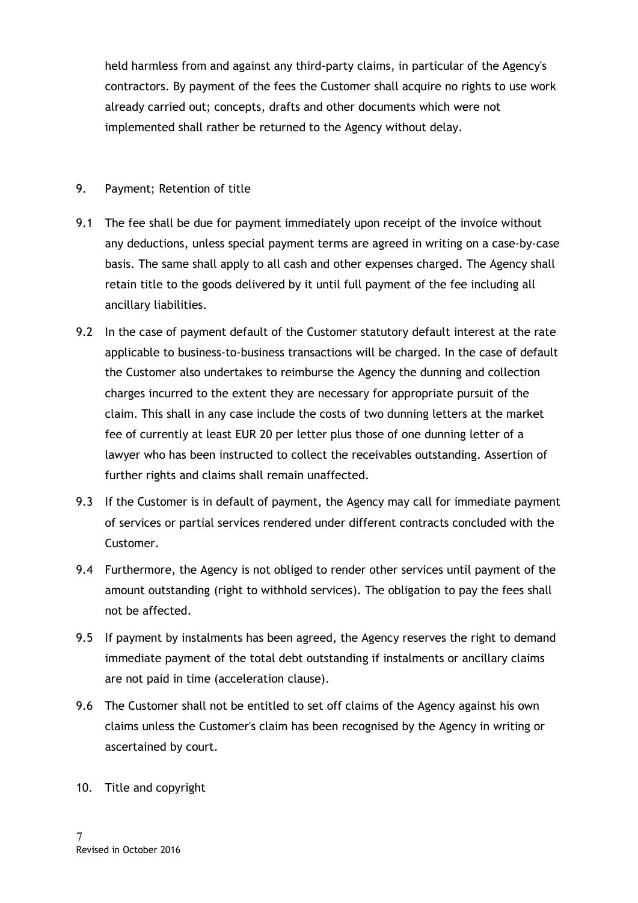held harmless from and against any third-party claims, in particular of the Agency's contractors. By payment of the fees the Customer shall acquire no rights to use work already carried out; concepts, drafts and other documents which were not implemented shall rather be returned to the Agency without delay.

# 9. Payment; Retention of title

- 9.1 The fee shall be due for payment immediately upon receipt of the invoice without any deductions, unless special payment terms are agreed in writing on a case-by-case basis. The same shall apply to all cash and other expenses charged. The Agency shall retain title to the goods delivered by it until full payment of the fee including all ancillary liabilities.
- 9.2 In the case of payment default of the Customer statutory default interest at the rate applicable to business-to-business transactions will be charged. In the case of default the Customer also undertakes to reimburse the Agency the dunning and collection charges incurred to the extent they are necessary for appropriate pursuit of the claim. This shall in any case include the costs of two dunning letters at the market fee of currently at least EUR 20 per letter plus those of one dunning letter of a lawyer who has been instructed to collect the receivables outstanding. Assertion of further rights and claims shall remain unaffected.
- 9.3 If the Customer is in default of payment, the Agency may call for immediate payment of services or partial services rendered under different contracts concluded with the Customer.
- 9.4 Furthermore, the Agency is not obliged to render other services until payment of the amount outstanding (right to withhold services). The obligation to pay the fees shall not be affected.
- 9.5 If payment by instalments has been agreed, the Agency reserves the right to demand immediate payment of the total debt outstanding if instalments or ancillary claims are not paid in time (acceleration clause).
- 9.6 The Customer shall not be entitled to set off claims of the Agency against his own claims unless the Customer's claim has been recognised by the Agency in writing or ascertained by court.
- 10. Title and copyright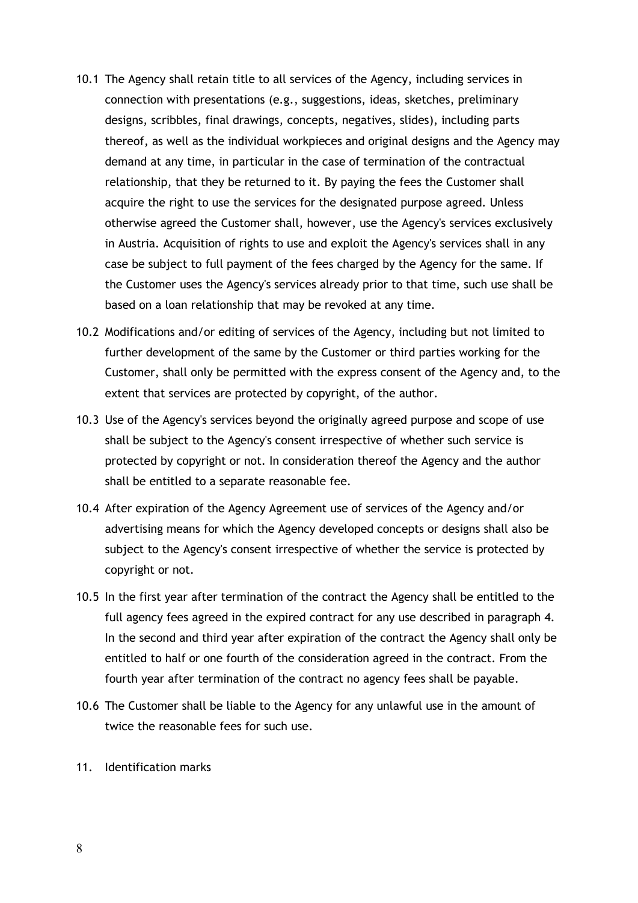- 10.1 The Agency shall retain title to all services of the Agency, including services in connection with presentations (e.g., suggestions, ideas, sketches, preliminary designs, scribbles, final drawings, concepts, negatives, slides), including parts thereof, as well as the individual workpieces and original designs and the Agency may demand at any time, in particular in the case of termination of the contractual relationship, that they be returned to it. By paying the fees the Customer shall acquire the right to use the services for the designated purpose agreed. Unless otherwise agreed the Customer shall, however, use the Agency's services exclusively in Austria. Acquisition of rights to use and exploit the Agency's services shall in any case be subject to full payment of the fees charged by the Agency for the same. If the Customer uses the Agency's services already prior to that time, such use shall be based on a loan relationship that may be revoked at any time.
- 10.2 Modifications and/or editing of services of the Agency, including but not limited to further development of the same by the Customer or third parties working for the Customer, shall only be permitted with the express consent of the Agency and, to the extent that services are protected by copyright, of the author.
- 10.3 Use of the Agency's services beyond the originally agreed purpose and scope of use shall be subject to the Agency's consent irrespective of whether such service is protected by copyright or not. In consideration thereof the Agency and the author shall be entitled to a separate reasonable fee.
- 10.4 After expiration of the Agency Agreement use of services of the Agency and/or advertising means for which the Agency developed concepts or designs shall also be subject to the Agency's consent irrespective of whether the service is protected by copyright or not.
- 10.5 In the first year after termination of the contract the Agency shall be entitled to the full agency fees agreed in the expired contract for any use described in paragraph 4. In the second and third year after expiration of the contract the Agency shall only be entitled to half or one fourth of the consideration agreed in the contract. From the fourth year after termination of the contract no agency fees shall be payable.
- 10.6 The Customer shall be liable to the Agency for any unlawful use in the amount of twice the reasonable fees for such use.
- 11. Identification marks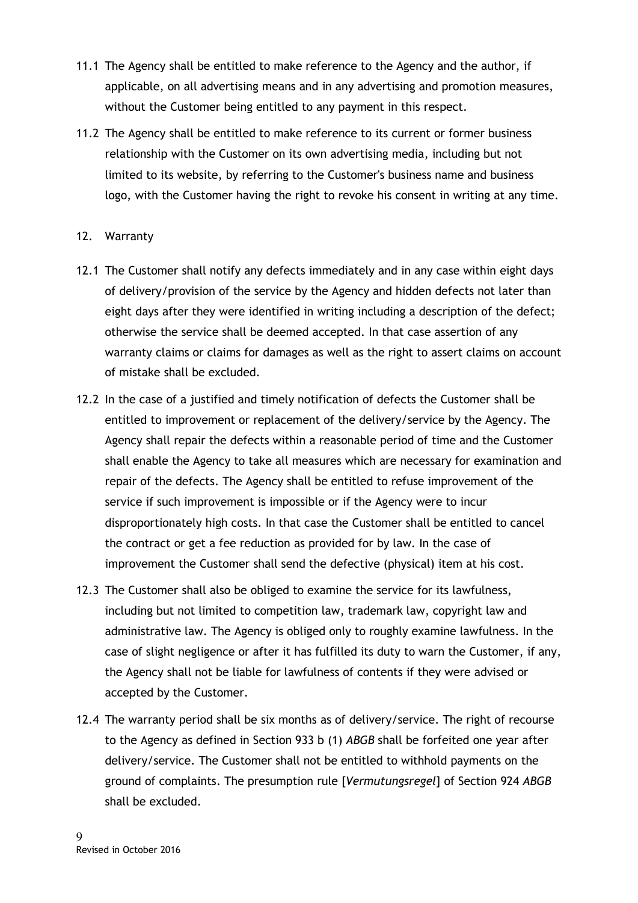- 11.1 The Agency shall be entitled to make reference to the Agency and the author, if applicable, on all advertising means and in any advertising and promotion measures, without the Customer being entitled to any payment in this respect.
- 11.2 The Agency shall be entitled to make reference to its current or former business relationship with the Customer on its own advertising media, including but not limited to its website, by referring to the Customer's business name and business logo, with the Customer having the right to revoke his consent in writing at any time.
- 12. Warranty
- 12.1 The Customer shall notify any defects immediately and in any case within eight days of delivery/provision of the service by the Agency and hidden defects not later than eight days after they were identified in writing including a description of the defect; otherwise the service shall be deemed accepted. In that case assertion of any warranty claims or claims for damages as well as the right to assert claims on account of mistake shall be excluded.
- 12.2 In the case of a justified and timely notification of defects the Customer shall be entitled to improvement or replacement of the delivery/service by the Agency. The Agency shall repair the defects within a reasonable period of time and the Customer shall enable the Agency to take all measures which are necessary for examination and repair of the defects. The Agency shall be entitled to refuse improvement of the service if such improvement is impossible or if the Agency were to incur disproportionately high costs. In that case the Customer shall be entitled to cancel the contract or get a fee reduction as provided for by law. In the case of improvement the Customer shall send the defective (physical) item at his cost.
- 12.3 The Customer shall also be obliged to examine the service for its lawfulness, including but not limited to competition law, trademark law, copyright law and administrative law. The Agency is obliged only to roughly examine lawfulness. In the case of slight negligence or after it has fulfilled its duty to warn the Customer, if any, the Agency shall not be liable for lawfulness of contents if they were advised or accepted by the Customer.
- 12.4 The warranty period shall be six months as of delivery/service. The right of recourse to the Agency as defined in Section 933 b (1) ABGB shall be forfeited one year after delivery/service. The Customer shall not be entitled to withhold payments on the ground of complaints. The presumption rule [Vermutungsregel] of Section 924 ABGB shall be excluded.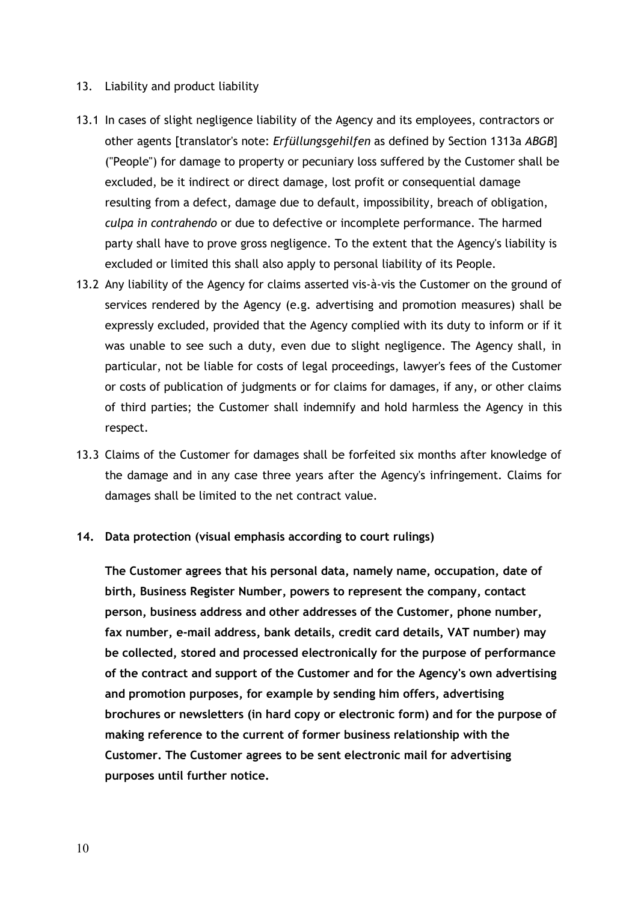#### 13. Liability and product liability

- 13.1 In cases of slight negligence liability of the Agency and its employees, contractors or other agents [translator's note: Erfüllungsgehilfen as defined by Section 1313a ABGB] ("People") for damage to property or pecuniary loss suffered by the Customer shall be excluded, be it indirect or direct damage, lost profit or consequential damage resulting from a defect, damage due to default, impossibility, breach of obligation, culpa in contrahendo or due to defective or incomplete performance. The harmed party shall have to prove gross negligence. To the extent that the Agency's liability is excluded or limited this shall also apply to personal liability of its People.
- 13.2 Any liability of the Agency for claims asserted vis-à-vis the Customer on the ground of services rendered by the Agency (e.g. advertising and promotion measures) shall be expressly excluded, provided that the Agency complied with its duty to inform or if it was unable to see such a duty, even due to slight negligence. The Agency shall, in particular, not be liable for costs of legal proceedings, lawyer's fees of the Customer or costs of publication of judgments or for claims for damages, if any, or other claims of third parties; the Customer shall indemnify and hold harmless the Agency in this respect.
- 13.3 Claims of the Customer for damages shall be forfeited six months after knowledge of the damage and in any case three years after the Agency's infringement. Claims for damages shall be limited to the net contract value.
- 14. Data protection (visual emphasis according to court rulings)

The Customer agrees that his personal data, namely name, occupation, date of birth, Business Register Number, powers to represent the company, contact person, business address and other addresses of the Customer, phone number, fax number, e-mail address, bank details, credit card details, VAT number) may be collected, stored and processed electronically for the purpose of performance of the contract and support of the Customer and for the Agency's own advertising and promotion purposes, for example by sending him offers, advertising brochures or newsletters (in hard copy or electronic form) and for the purpose of making reference to the current of former business relationship with the Customer. The Customer agrees to be sent electronic mail for advertising purposes until further notice.